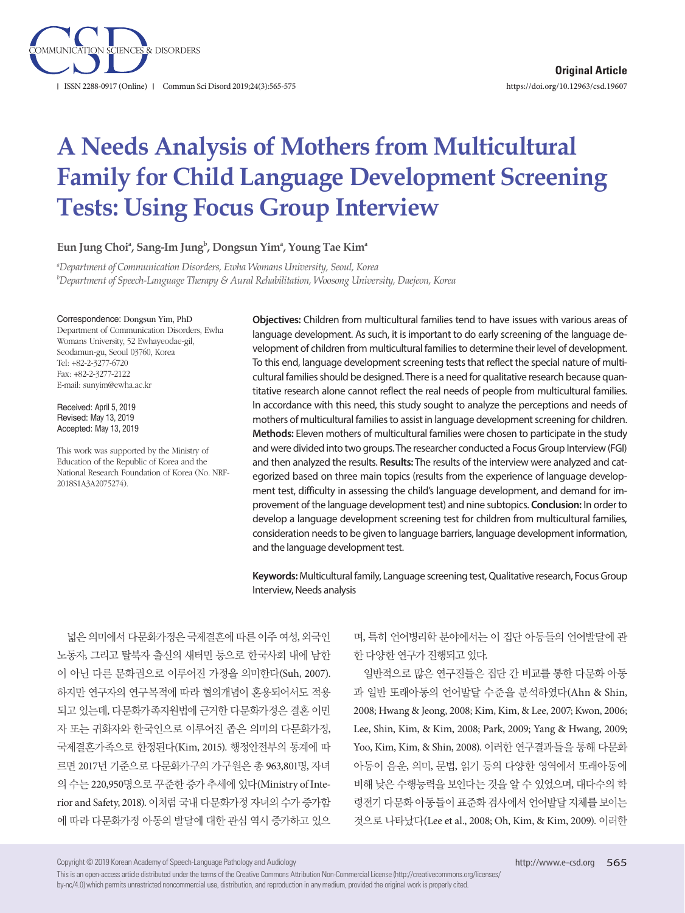

# **A Needs Analysis of Mothers from Multicultural Family for Child Language Development Screening Tests: Using Focus Group Interview**

Eun Jung Choiª, Sang-Im Jung<sup>b</sup>, Dongsun Yimª, Young Tae Kimª

*a Department of Communication Disorders, Ewha Womans University, Seoul, Korea b Department of Speech-Language Therapy & Aural Rehabilitation, Woosong University, Daejeon, Korea*

#### Correspondence: Dongsun Yim, PhD

Department of Communication Disorders, Ewha Womans University, 52 Ewhayeodae-gil, Seodamun-gu, Seoul 03760, Korea Tel: +82-2-3277-6720 Fax: +82-2-3277-2122 E-mail: sunyim@ewha.ac.kr

Received: April 5, 2019 Revised: May 13, 2019 Accepted: May 13, 2019

This work was supported by the Ministry of Education of the Republic of Korea and the National Research Foundation of Korea (No. NRF-2018S1A3A2075274).

**Objectives:** Children from multicultural families tend to have issues with various areas of language development. As such, it is important to do early screening of the language development of children from multicultural families to determine their level of development. To this end, language development screening tests that reflect the special nature of multicultural families should be designed. There is a need for qualitative research because quantitative research alone cannot reflect the real needs of people from multicultural families. In accordance with this need, this study sought to analyze the perceptions and needs of mothers of multicultural families to assist in language development screening for children. **Methods:** Eleven mothers of multicultural families were chosen to participate in the study and were divided into two groups. The researcher conducted a Focus Group Interview (FGI) and then analyzed the results. **Results:** The results of the interview were analyzed and categorized based on three main topics (results from the experience of language development test, difficulty in assessing the child's language development, and demand for improvement of the language development test) and nine subtopics. **Conclusion:** In order to develop a language development screening test for children from multicultural families, consideration needs to be given to language barriers, language development information, and the language development test.

**Keywords:** Multicultural family, Language screening test, Qualitative research, Focus Group Interview, Needs analysis

넓은 의미에서 다문화가정은 국제결혼에 따른 이주 여성, 외국인 노동자, 그리고 탈북자 출신의 새터민 등으로 한국사회 내에 남한 이 아닌 다른 문화권으로 이루어진 가정을 의미한다(Suh, 2007). 하지만 연구자의 연구목적에 따라 협의개념이 혼용되어서도 적용 되고 있는데, 다문화가족지원법에 근거한 다문화가정은 결혼 이민 자 또는 귀화자와 한국인으로 이루어진 좁은 의미의 다문화가정, 국제결혼가족으로 한정된다(Kim, 2015). 행정안전부의 통계에 따 르면 2017년 기준으로 다문화가구의 가구원은 총 963,801명, 자녀 의 수는 220,950명으로 꾸준한 증가 추세에 있다(Ministry of Interior and Safety, 2018). 이처럼 국내 다문화가정 자녀의 수가 증가함 에 따라 다문화가정 아동의 발달에 대한 관심 역시 증가하고 있으

며, 특히 언어병리학 분야에서는 이 집단 아동들의 언어발달에 관 한 다양한 연구가 진행되고 있다.

일반적으로 많은 연구진들은 집단 간 비교를 통한 다문화 아동 과 일반 또래아동의 언어발달 수준을 분석하였다(Ahn & Shin, 2008; Hwang & Jeong, 2008; Kim, Kim, & Lee, 2007; Kwon, 2006; Lee, Shin, Kim, & Kim, 2008; Park, 2009; Yang & Hwang, 2009; Yoo, Kim, Kim, & Shin, 2008). 이러한 연구결과들을 통해 다문화 아동이 음운, 의미, 문법, 읽기 등의 다양한 영역에서 또래아동에 비해 낮은 수행능력을 보인다는 것을 알 수 있었으며, 대다수의 학 령전기 다문화 아동들이 표준화 검사에서 언어발달 지체를 보이는 것으로 나타났다(Lee et al., 2008; Oh, Kim, & Kim, 2009). 이러한

Copyright © 2019 Korean Academy of Speech-Language Pathology and Audiology

This is an open-access article distributed under the terms of the Creative Commons Attribution Non-Commercial License (http://creativecommons.org/licenses/ by-nc/4.0) which permits unrestricted noncommercial use, distribution, and reproduction in any medium, provided the original work is properly cited.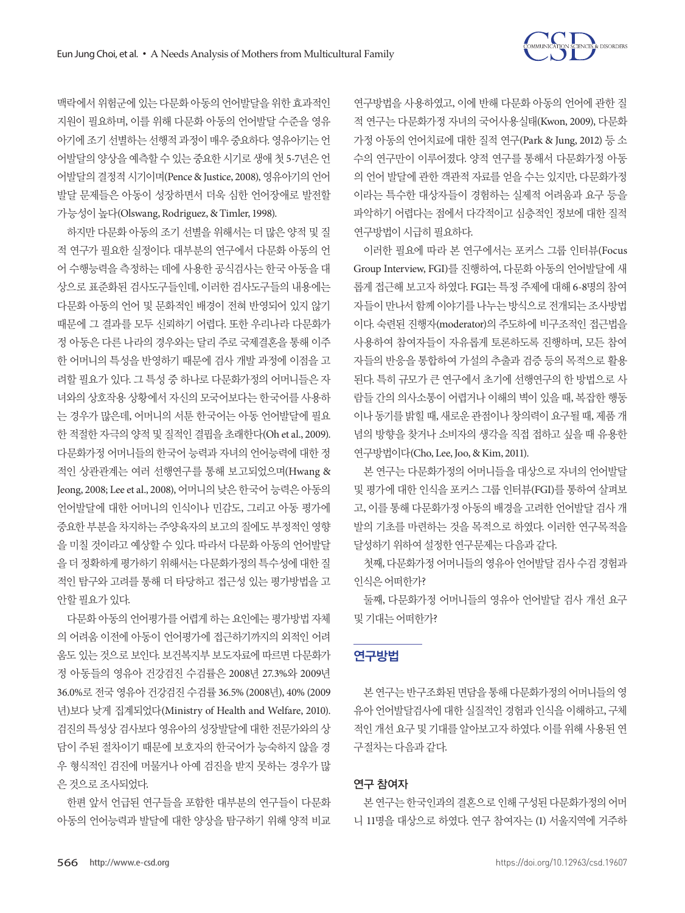

맥락에서 위험군에 있는 다문화 아동의 언어발달을 위한 효과적인 지원이 필요하며, 이를 위해 다문화 아동의 언어발달 수준을 영유 아기에 조기 선별하는 선행적 과정이 매우 중요하다. 영유아기는 언 어발달의 양상을 예측할 수 있는 중요한 시기로 생애 첫 5-7년은 언 어발달의 결정적 시기이며(Pence & Justice, 2008), 영유아기의 언어 발달 문제들은 아동이 성장하면서 더욱 심한 언어장애로 발전할 가능성이높다(Olswang, Rodriguez, & Timler, 1998).

하지만 다문화 아동의 조기 선별을 위해서는 더 많은 양적 및 질 적 연구가 필요한 실정이다. 대부분의 연구에서 다문화 아동의 언 어 수행능력을 측정하는 데에 사용한 공식검사는 한국 아동을 대 상으로 표준화된 검사도구들인데, 이러한 검사도구들의 내용에는 다문화 아동의 언어 및 문화적인 배경이 전혀 반영되어 있지 않기 때문에 그 결과를 모두 신뢰하기 어렵다. 또한 우리나라 다문화가 정 아동은 다른 나라의 경우와는 달리 주로 국제결혼을 통해 이주 한 어머니의 특성을 반영하기 때문에 검사 개발 과정에 이점을 고 려할 필요가 있다. 그 특성 중 하나로 다문화가정의 어머니들은 자 녀와의 상호작용 상황에서 자신의 모국어보다는 한국어를 사용하 는 경우가 많은데, 어머니의 서툰 한국어는 아동 언어발달에 필요 한 적절한 자극의 양적 및 질적인 결핍을 초래한다(Oh et al., 2009). 다문화가정 어머니들의 한국어 능력과 자녀의 언어능력에 대한 정 적인 상관관계는 여러 선행연구를 통해 보고되었으며(Hwang & Jeong, 2008; Lee et al., 2008), 어머니의 낮은 한국어 능력은 아동의 언어발달에 대한 어머니의 인식이나 민감도, 그리고 아동 평가에 중요한 부분을 차지하는 주양육자의 보고의 질에도 부정적인 영향 을 미칠 것이라고 예상할 수 있다. 따라서 다문화 아동의 언어발달 을더정확하게평가하기위해서는다문화가정의특수성에대한질 적인 탐구와 고려를 통해 더 타당하고 접근성 있는 평가방법을 고 안할필요가있다.

다문화 아동의 언어평가를 어렵게 하는 요인에는 평가방법 자체 의 어려움 이전에 아동이 언어평가에 접근하기까지의 외적인 어려 움도 있는 것으로 보인다. 보건복지부 보도자료에 따르면 다문화가 정 아동들의 영유아 건강검진 수검률은 2008년 27.3%와 2009년 36.0%로 전국 영유아 건강검진 수검률 36.5% (2008년), 40% (2009 년)보다 낮게 집계되었다(Ministry of Health and Welfare, 2010). 검진의 특성상 검사보다 영유아의 성장발달에 대한 전문가와의 상 담이 주된 절차이기 때문에 보호자의 한국어가 능숙하지 않을 경 우 형식적인 검진에 머물거나 아예 검진을 받지 못하는 경우가 많 은것으로조사되었다.

한편 앞서 언급된 연구들을 포함한 대부분의 연구들이 다문화 아동의 언어능력과 발달에 대한 양상을 탐구하기 위해 양적 비교 연구방법을 사용하였고, 이에 반해 다문화 아동의 언어에 관한 질 적 연구는 다문화가정 자녀의 국어사용실태(Kwon, 2009), 다문화 가정 아동의 언어치료에 대한 질적 연구(Park & Jung, 2012) 등 소 수의 연구만이 이루어졌다. 양적 연구를 통해서 다문화가정 아동 의 언어 발달에 관한 객관적 자료를 얻을 수는 있지만, 다문화가정 이라는 특수한 대상자들이 경험하는 실제적 어려움과 요구 등을 파악하기 어렵다는 점에서 다각적이고 심층적인 정보에 대한 질적 연구방법이시급히필요하다.

이러한 필요에 따라 본 연구에서는 포커스 그룹 인터뷰(Focus Group Interview, FGI)를 진행하여, 다문화 아동의 언어발달에 새 롭게 접근해 보고자 하였다. FGI는 특정 주제에 대해 6-8명의 참여 자들이만나서함께이야기를나누는방식으로전개되는조사방법 이다. 숙련된 진행자(moderator)의 주도하에 비구조적인 접근법을 사용하여 참여자들이 자유롭게 토론하도록 진행하며, 모든 참여 자들의 반응을 통합하여 가설의 추출과 검증 등의 목적으로 활용 된다. 특히 규모가 큰 연구에서 초기에 선행연구의 한 방법으로 사 람들 간의 의사소통이 어렵거나 이해의 벽이 있을 때, 복잡한 행동 이나 동기를 밝힐 때, 새로운 관점이나 창의력이 요구될 때, 제품 개 념의 방향을 찾거나 소비자의 생각을 직접 접하고 싶을 때 유용한 연구방법이다(Cho, Lee, Joo, & Kim, 2011).

본 연구는 다문화가정의 어머니들을 대상으로 자녀의 언어발달 및 평가에 대한 인식을 포커스 그룹 인터뷰(FGI)를 통하여 살펴보 고, 이를 통해 다문화가정 아동의 배경을 고려한 언어발달 검사 개 발의 기초를 마련하는 것을 목적으로 하였다. 이러한 연구목적을 달성하기위하여설정한연구문제는다음과같다.

첫째, 다문화가정 어머니들의 영유아 언어발달 검사 수검 경험과 인식은 어떠한가?

둘째, 다문화가정 어머니들의 영유아 언어발달 검사 개선 요구 및기대는어떠한가?

# 연구방법

본 연구는 반구조화된 면담을 통해 다문화가정의 어머니들의 영 유아 언어발달검사에 대한 실질적인 경험과 인식을 이해하고, 구체 적인 개선 요구 및 기대를 알아보고자 하였다. 이를 위해 사용된 연 구절차는다음과같다.

# 연구 참여자

본 연구는 한국인과의 결혼으로 인해 구성된 다문화가정의 어머 니 11명을 대상으로 하였다. 연구 참여자는 (1) 서울지역에 거주하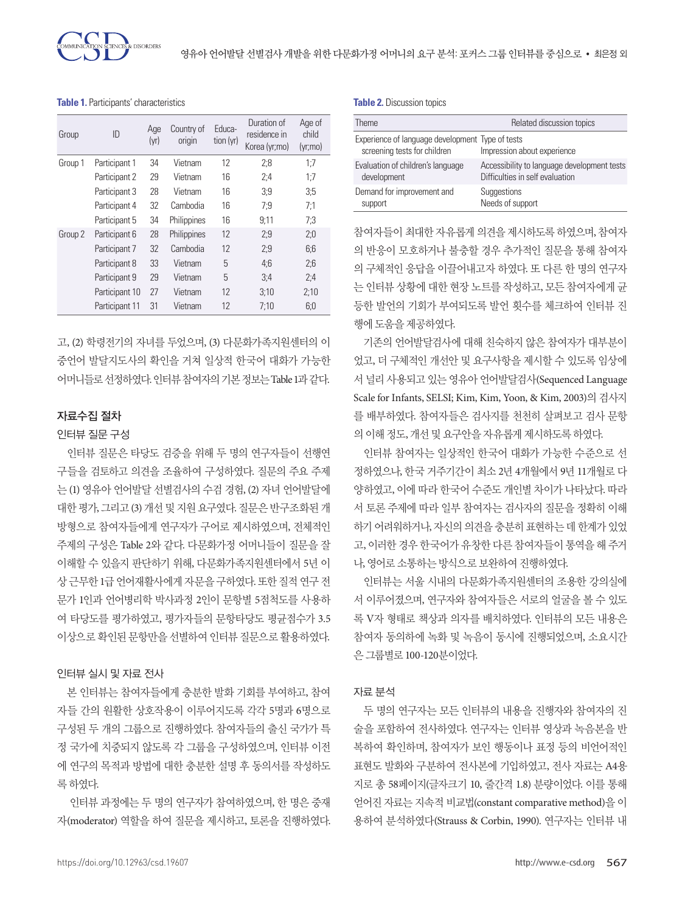

**Table 1.** Participants' characteristics

| Group   | ID             | Age<br>(yr) | Country of<br>origin | Educa-<br>tion (yr) | Duration of<br>residence in<br>Korea (yr;mo) | Age of<br>child<br>(yr;mo) |
|---------|----------------|-------------|----------------------|---------------------|----------------------------------------------|----------------------------|
| Group 1 | Participant 1  | 34          | Vietnam              | 12                  | 2:8                                          | 1:7                        |
|         | Participant 2  | 29          | Vietnam              | 16                  | 2:4                                          | 1:7                        |
|         | Participant 3  | 28          | Vietnam              | 16                  | 3:9                                          | 3:5                        |
|         | Participant 4  | 32          | Cambodia             | 16                  | 7:9                                          | 7:1                        |
|         | Participant 5  | 34          | Philippines          | 16                  | 9:11                                         | 7:3                        |
| Group 2 | Participant 6  | 28          | Philippines          | 12                  | 2:9                                          | 2:0                        |
|         | Participant 7  | 32          | Cambodia             | 12                  | 2:9                                          | 6:6                        |
|         | Participant 8  | 33          | Vietnam              | 5                   | 4:6                                          | 2:6                        |
|         | Participant 9  | 29          | Vietnam              | 5                   | 3:4                                          | 2:4                        |
|         | Participant 10 | 27          | Vietnam              | 12                  | 3:10                                         | 2:10                       |
|         | Participant 11 | 31          | Vietnam              | 12                  | 7:10                                         | 6:0                        |

고, (2) 학령전기의 자녀를 두었으며, (3) 다문화가족지원센터의 이 중언어 발달지도사의 확인을 거쳐 일상적 한국어 대화가 가능한 어머니들로선정하였다. 인터뷰참여자의기본정보는 Table 1과같다.

### 자료수집 절차

#### 인터뷰 질문 구성

인터뷰 질문은 타당도 검증을 위해 두 명의 연구자들이 선행연 구들을 검토하고 의견을 조율하여 구성하였다. 질문의 주요 주제 는 (1) 영유아 언어발달 선별검사의 수검 경험, (2) 자녀 언어발달에 대한 평가, 그리고 (3) 개선 및 지원 요구였다. 질문은 반구조화된 개 방형으로 참여자들에게 연구자가 구어로 제시하였으며, 전체적인 주제의 구성은 Table 2와 같다. 다문화가정 어머니들이 질문을 잘 이해할 수 있을지 판단하기 위해, 다문화가족지원센터에서 5년 이 상 근무한 1급 언어재활사에게 자문을 구하였다. 또한 질적 연구 전 문가 1인과 언어병리학 박사과정 2인이 문항별 5점척도를 사용하 여 타당도를 평가하였고, 평가자들의 문항타당도 평균점수가 3.5 이상으로확인된문항만을선별하여인터뷰질문으로활용하였다.

#### 인터뷰 실시 및 자료 전사

본 인터뷰는 참여자들에게 충분한 발화 기회를 부여하고, 참여 자들 간의 원활한 상호작용이 이루어지도록 각각 5명과 6명으로 구성된 두 개의 그룹으로 진행하였다. 참여자들의 출신 국가가 특 정 국가에 치중되지 않도록 각 그룹을 구성하였으며, 인터뷰 이전 에 연구의 목적과 방법에 대한 충분한 설명 후 동의서를 작성하도 록하였다.

인터뷰 과정에는 두 명의 연구자가 참여하였으며, 한 명은 중재 자(moderator) 역할을 하여 질문을 제시하고, 토론을 진행하였다. **Table 2.** Discussion topics

| <b>Theme</b>                                                                     | Related discussion topics                   |
|----------------------------------------------------------------------------------|---------------------------------------------|
| Experience of language development Type of tests<br>screening tests for children | Impression about experience                 |
| Evaluation of children's language                                                | Accessibility to language development tests |
| development                                                                      | Difficulties in self evaluation             |
| Demand for improvement and                                                       | Suggestions                                 |
| support                                                                          | Needs of support                            |

참여자들이 최대한 자유롭게 의견을 제시하도록 하였으며, 참여자 의 반응이 모호하거나 불충할 경우 추가적인 질문을 통해 참여자 의 구체적인 응답을 이끌어내고자 하였다. 또 다른 한 명의 연구자 는 인터뷰 상황에 대한 현장 노트를 작성하고, 모든 참여자에게 균 등한 발언의 기회가 부여되도록 발언 횟수를 체크하여 인터뷰 진 행에도움을제공하였다.

기존의 언어발달검사에 대해 친숙하지 않은 참여자가 대부분이 었고, 더 구체적인 개선안 및 요구사항을 제시할 수 있도록 임상에 서 널리 사용되고 있는 영유아 언어발달검사(Sequenced Language Scale for Infants, SELSI; Kim, Kim, Yoon, & Kim, 2003)의 검사지 를 배부하였다. 참여자들은 검사지를 천천히 살펴보고 검사 문항 의이해정도, 개선및요구안을자유롭게제시하도록하였다.

인터뷰 참여자는 일상적인 한국어 대화가 가능한 수준으로 선 정하였으나, 한국 거주기간이 최소 2년 4개월에서 9년 11개월로 다 양하였고, 이에 따라 한국어 수준도 개인별 차이가 나타났다. 따라 서 토론 주제에 따라 일부 참여자는 검사자의 질문을 정확히 이해 하기 어려워하거나, 자신의 의견을 충분히 표현하는 데 한계가 있었 고, 이러한 경우 한국어가 유창한 다른 참여자들이 통역을 해 주거 나, 영어로소통하는방식으로보완하여진행하였다.

인터뷰는 서울 시내의 다문화가족지원센터의 조용한 강의실에 서 이루어졌으며, 연구자와 참여자들은 서로의 얼굴을 볼 수 있도 록 V자 형태로 책상과 의자를 배치하였다. 인터뷰의 모든 내용은 참여자 동의하에 녹화 및 녹음이 동시에 진행되었으며, 소요시간 은그룹별로 100-120분이었다.

#### 자료 분석

두 명의 연구자는 모든 인터뷰의 내용을 진행자와 참여자의 진 술을 포함하여 전사하였다. 연구자는 인터뷰 영상과 녹음본을 반 복하여 확인하며, 참여자가 보인 행동이나 표정 등의 비언어적인 표현도 발화와 구분하여 전사본에 기입하였고, 전사 자료는 A4용 지로 총 58페이지(글자크기 10, 줄간격 1.8) 분량이었다. 이를 통해 얻어진 자료는 지속적 비교법(constant comparative method)을 이 용하여 분석하였다(Strauss & Corbin, 1990). 연구자는 인터뷰 내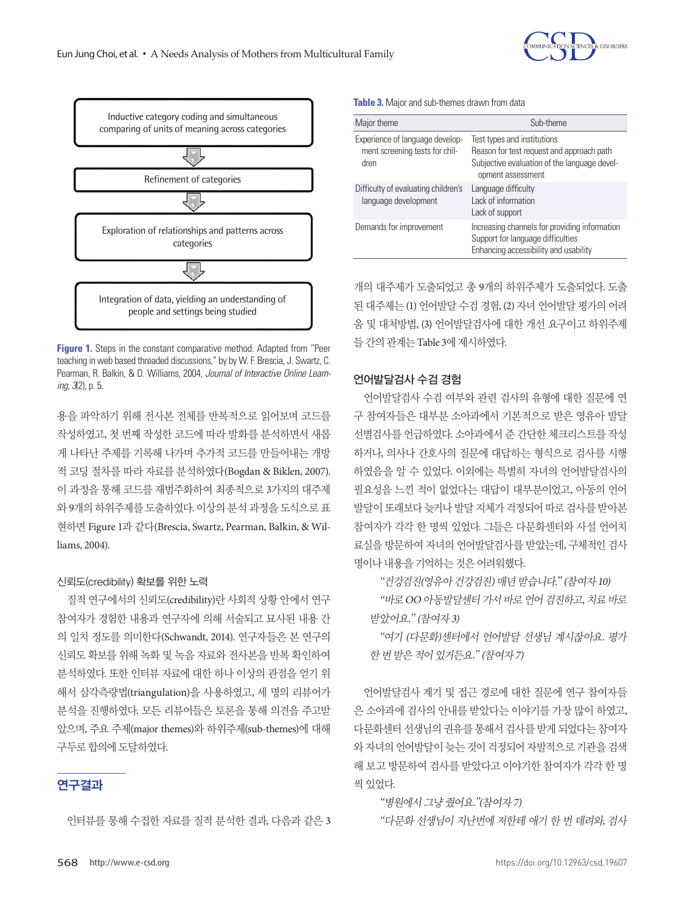



r camian, n. bankin, & D. Williams, 2004, *bournal of interactive orillite Ecam*<br>*ing 3*/) n 5 **Figure 1.** Steps in the constant comparative method. Adapted from "Peer teaching in web based threaded discussions," by by W. F. Brescia, J. Swartz, C. Pearman, R. Balkin, & D. Williams, 2004, *Journal of Interactive Online Learning, 3*(2), p. 5.

용을 파악하기 위해 전사본 전체를 반복적으로 읽어보며 코드를 작성하였고, 첫 번째 작성한 코드에 따라 발화를 분석하면서 새롭 게 나타난 주제를 기록해 나가며 추가적 코드를 만들어내는 개방 적 코딩 절차를 따라 자료를 분석하였다(Bogdan & Biklen, 2007). 이 과정을 통해 코드를 재범주화하여 최종적으로 3가지의 대주제 와 9개의 하위주제를 도출하였다. 이상의 분석 과정을 도식으로 표 현하면 Figure 1과 같다(Brescia, Swartz, Pearman, Balkin, & Williams, 2004).

# 신뢰도(credibility) 확보를 위한 노력

질적 연구에서의 신뢰도(credibility)란 사회적 상황 안에서 연구 참여자가 경험한 내용과 연구자에 의해 서술되고 묘사된 내용 간 의 일치 정도를 의미한다(Schwandt, 2014). 연구자들은 본 연구의 신뢰도 확보를 위해 녹화 및 녹음 자료와 전사본을 반복 확인하여 분석하였다. 또한 인터뷰 자료에 대한 하나 이상의 관점을 얻기 위 해서 삼각측량법(triangulation)을 사용하였고, 세 명의 리뷰어가 분석을 진행하였다. 모든 리뷰어들은 토론을 통해 의견을 주고받 았으며, 주요 주제(major themes)와 하위주제(sub-themes)에 대해 구두로합의에도달하였다.

# 연구결과

인터뷰를 통해 수집한 자료를 질적 분석한 결과, 다음과 같은 3

#### **Table 3.** Major and sub-themes drawn from data

| Major theme                                                               | Sub-theme                                                                                                                                     |
|---------------------------------------------------------------------------|-----------------------------------------------------------------------------------------------------------------------------------------------|
| Experience of language develop-<br>ment screening tests for chil-<br>dren | Test types and institutions<br>Reason for test request and approach path<br>Subjective evaluation of the language devel-<br>opment assessment |
| Difficulty of evaluating children's<br>language development               | Language difficulty<br>Lack of information<br>Lack of support                                                                                 |
| Demands for improvement                                                   | Increasing channels for providing information<br>Support for language difficulties<br>Enhancing accessibility and usability                   |

개의 대주제가 도출되었고 총 9개의 하위주제가 도출되었다. 도출 된 대주제는 (1) 언어발달 수검 경험, (2) 자녀 언어발달 평가의 어려 움 및 대처방법, (3) 언어발달검사에 대한 개선 요구이고 하위주제 들간의관계는 Table 3에제시하였다.

언어발달검사 수검 여부와 관련 검사의 유형에 대한 질문에 연 구 참여자들은 대부분 소아과에서 기본적으로 받은 영유아 발달 선별검사를 언급하였다. 소아과에서 준 간단한 체크리스트를 작성 하거나, 의사나 간호사의 질문에 대답하는 형식으로 검사를 시행 하였음을 알 수 있었다. 이외에는 특별히 자녀의 언어발달검사의 필요성을 느끼 적이 없었다는 대답이 대부부이었고, 아동의 언어 발달이 또래보다 늦거나 발달 지체가 걱정되어 따로 검사를 받아본 참여자가 각각 한 명씩 있었다. 그들은 다문화센터와 사설 언어치 료실을 방문하여 자녀의 언어발달검사를 받았는데, 구체적인 검사 명이나내용을기억하는것은어려워했다.

"건강검진(영유아건강검진) 매년받습니다." (참여자 10)

"바로 OO 아동발달센터 가서 바로 언어 검진하고, 치료 바로 받았어요." (참여자 3)

"여기 (다문화)센터에서 언어발달 선생님 계시잖아요. 평가 한 번 받은 적이 있거든요." (참여자 7)

언어발달검사 계기 및 접근 경로에 대한 질문에 연구 참여자들 은 소아과에 검사의 안내를 받았다는 이야기를 가장 많이 하였고, 다문화센터 선생님의 권유를 통해서 검사를 받게 되었다는 참여자 와 자녀의 언어발달이 늦는 것이 걱정되어 자발적으로 기관을 검색 해 보고 방문하여 검사를 받았다고 이야기한 참여자가 각각 한 명 씩 있었다.

# "병원에서그냥줬어요."(참여자 7)

"다문화 선생님이 지난번에 저한테 애기 한 번 데려와, 검사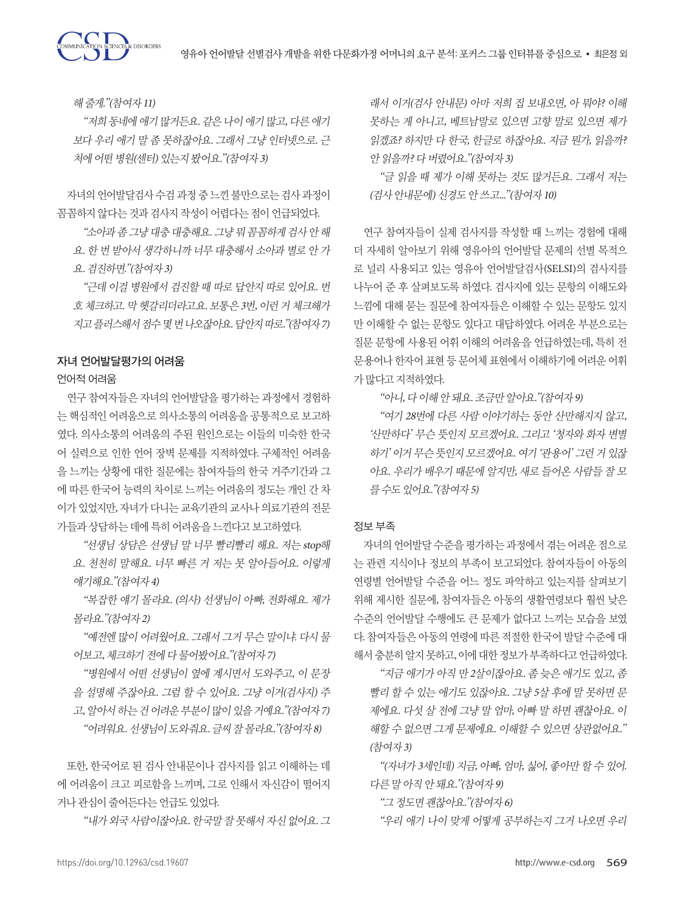

해줄게."(참여자 11)

"저희 동네에 애기 많거든요. 같은 나이 애기 많고, 다른 애기 보다 우리 애기 말 좀 못하잖아요. 그래서 그냥 인터넷으로. 근 처에 어떤 병원(세터) 있는지 봤어요."(참여자 3)

자녀의 언어발달검사 수검 과정 중 느낀 불만으로는 검사 과정이 꼼꼼하지 않다는 것과 검사지 작성이 어렵다는 점이 언급되었다.

"소아과 좀 그냥 대충 대충해요. 그냥 뭐 꼼꼼하게 검사 안 해 요. 한 번 받아서 생각하니까 너무 대충해서 소아과 별로 안 가 요. 검진하면."(참여자 3)

"근데 이걸 병원에서 검진할 때 따로 답안지 따로 있어요. 번 호 체크하고. 막 헷갈리더라고요. 보통은 3번, 이런 거 체크해가 지고플러스해서점수몇번나오잖아요. 답안지따로."(참여자 7)

#### 자녀 언어발달평가의 어려움

#### 언어적 어려움

연구 참여자들은 자녀의 언어발달을 평가하는 과정에서 경험하 는 핵심적인 어려움으로 의사소통의 어려움을 공통적으로 보고하 였다. 의사소통의 어려움의 주된 원인으로는 이들의 미숙한 한국 어 실력으로 인한 언어 장벽 문제를 지적하였다. 구체적인 어려움 을 느끼는 상황에 대한 질문에는 참여자들의 한국 거주기간과 그 에 따른 한국어 능력의 차이로 느끼는 어려움의 정도는 개인 간 차 이가 있었지만, 자녀가 다니는 교육기관의 교사나 의료기관의 전문 가들과상담하는데에특히어려움을느낀다고보고하였다.

"선생님 상담은 선생님 말 너무 빨리빨리 해요. 저는 stop해 요. 천천히 말해요. 너무 빠른 거 저는 못 알아들어요. 이렇게 얘기해요."(참여자 4)

"복잡한 얘기 몰라요. (의사) 선생님이 아빠, 전화해요. 제가 몰라요."(참여자 2)

"예전엔 많이 어려웠어요. 그래서 그거 무슨 말이냐. 다시 물 어보고, 체크하기 전에 다 물어봤어요."(참여자 7)

"병원에서 어떤 선생님이 옆에 계시면서 도와주고, 이 문장 을 설명해 주잖아요. 그럼 할 수 있어요. 그냥 이거(검사지) 주 고, 알아서 하는 건 어려운 부분이 많이 있을 거예요."(참여자 7) "어려워요. 선생님이도와줘요. 글씨잘몰라요."(참여자 8)

또한, 한국어로 된 검사 안내문이나 검사지를 읽고 이해하는 데 에 어려움이 크고 피로함을 느끼며, 그로 인해서 자신감이 떨어지 거나 관심이 줄어든다는 언급도 있었다.

"내가외국사람이잖아요. 한국말잘못해서자신없어요. <sup>그</sup>

래서 이거(검사 안내문) 아마 저희 집 보내오면, 아 뭐야? 이해 못하는 게 아니고, 베트남말로 있으면 고향 말로 있으면 제가 읽겠죠? 하지만 다 한국, 한글로 하잖아요. 지금 뭔가, 읽을까? 안읽을까? 다버렸어요."(참여자 3)

"글 읽을 때 제가 이해 못하는 것도 많거든요. 그래서 저는 (검사안내문에) 신경도안쓰고..."(참여자 10)

연구 참여자들이 실제 검사지를 작성할 때 느끼는 경험에 대해 더 자세히 알아보기 위해 영유아의 언어발달 문제의 선별 목적으 로 널리 사용되고 있는 영유아 언어발달검사(SELSI)의 검사지를 나누어 준 후 살펴보도록 하였다. 검사지에 있는 문항의 이해도와 느낌에 대해 묻는 질문에 참여자들은 이해할 수 있는 문항도 있지 만 이해할 수 없는 문항도 있다고 대답하였다. 어려운 부분으로는 질문 문항에 사용된 어휘 이해의 어려움을 언급하였는데, 특히 전 문용어나 한자어 표현 등 문어체 표현에서 이해하기에 어려운 어휘 가많다고지적하였다.

"아니, 다이해안돼요. 조금만알아요."(참여자 9)

"여기 28번에 다른 사람 이야기하는 동안 산만해지지 않고, '산만하다' 무슨 뜻인지 모르겠어요. 그리고 '청자와 화자 변별 하기'이거 무슨 뜻인지 모르겠어요. 여기 '관용어'그런 거 있잖 아요. 우리가 배우기 때문에 알지만, 새로 들어온 사람들 잘 모 를수도있어요."(참여자 5)

#### 정보 부족

자녀의 언어발달 수준을 평가하는 과정에서 겪는 어려운 점으로 는 관련 지식이나 정보의 부족이 보고되었다. 참여자들이 아동의 연령별 언어발달 수준을 어느 정도 파악하고 있는지를 살펴보기 위해 제시한 질문에, 참여자들은 아동의 생활연령보다 훨씬 낮은 수준의 언어발달 수행에도 큰 문제가 없다고 느끼는 모습을 보였 다. 참여자들은 아동의 연령에 따른 적절한 한국어 발달 수준에 대 해서 충분히 알지 못하고, 이에 대한 정보가 부족하다고 언급하였다.

"지금 애기가 아직 만 2살이잖아요. 좀 늦은 애기도 있고, 좀 빨리 할 수 있는 애기도 있잖아요. 그냥 5살 후에 말 못하면 문 제에요. 다섯 살 전에 그냥 말 엄마, 아빠 말 하면 괜찮아요. 이 해할 수 없으면 그게 문제에요. 이해할 수 있으면 상관없어요." (참여자 3)

"(자녀가 3세인데) 지금, 아빠, 엄마, 싫어, 좋아만 할 수 있어. 다른말아직안돼요."(참여자 9)

"그 정도면 괜찮아요."(참여자 6)

"우리 애기 나이 맞게 어떻게 공부하는지 그거 나오면 우리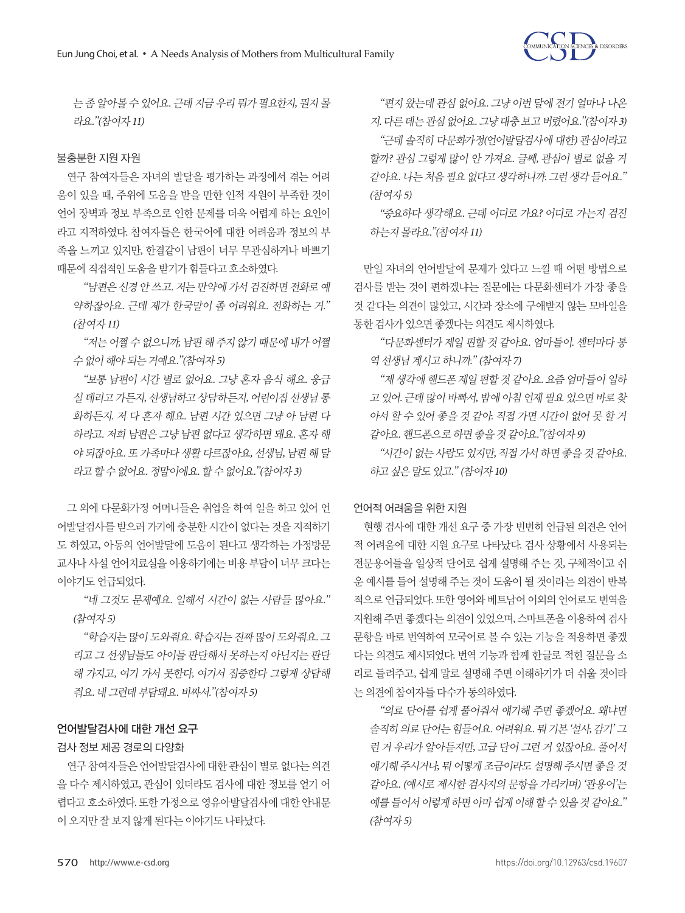

는 좀 알아볼 수 있어요. 근데 지금 우리 뭐가 필요한지, 뭔지 몰 라요."(참여자 11)

#### 불충분한 지원 자원

연구 참여자들은 자녀의 발달을 평가하는 과정에서 겪는 어려 움이 있을 때, 주위에 도움을 받을 만한 인적 자원이 부족한 것이 언어 장벽과 정보 부족으로 인한 문제를 더욱 어렵게 하는 요인이 라고 지적하였다. 참여자들은 한국어에 대한 어려움과 정보의 부 족을 느끼고 있지만, 한결같이 남편이 너무 무관심하거나 바쁘기 때문에 직접적인 도움을 받기가 힘들다고 호소하였다.

"남편은 신경 안 쓰고. 저는 만약에 가서 검진하면 전화로 예 약하잖아요. 근데 제가 한국말이 좀 어려워요. 전화하는 거." (참여자 11)

"저는 어쩔 수 없으니까, 남편 해 주지 않기 때문에 내가 어쩔 수없이해야되는거예요."(참여자 5)

"보통 남편이 시간 별로 없어요. 그냥 혼자 음식 해요. 응급 실 데리고 가든지, 선생님하고 상담하든지, 어린이집 선생님 통 화하든지. 저 다 혼자 해요. 남편 시간 있으면 그냥 아 남편 다 하라고. 저희 남편은 그냥 남편 없다고 생각하면 돼요. 혼자 해 야 되잖아요. 또 가족마다 생활 다르잖아요, 선생님, 남편 해 달 라고할수없어요. 정말이에요. 할수없어요."(참여자 3)

그 외에 다문화가정 어머니들은 취업을 하여 일을 하고 있어 언 어발달검사를 받으러 가기에 충분한 시간이 없다는 것을 지적하기 도 하였고, 아동의 언어발달에 도움이 된다고 생각하는 가정방문 교사나 사설 언어치료실을 이용하기에는 비용 부담이 너무 크다는 이야기도 언급되었다.

"네 그것도 문제예요. 일해서 시간이 없는 사람들 많아요." (참여자 5)

"학습지는 많이 도와줘요. 학습지는 진짜 많이 도와줘요. <sup>그</sup> 리고 <sup>그</sup> 선생님들도 아이들 판단해서 못하는지 아닌지는 판단 해 가지고, 여기 가서 못한다, 여기서 집중한다 그렇게 상담해 줘요. 네그런데부담돼요. 비싸서."(참여자 5)

# 언어발달검사에 대한 개선 요구

#### 검사 정보 제공 경로의 다양화

연구 참여자들은 언어발달검사에 대한 관심이 별로 없다는 의견 을 다수 제시하였고, 관심이 있더라도 검사에 대한 정보를 얻기 어 렵다고 호소하였다. 또한 가정으로 영유아발달검사에 대한 안내문 이오지만잘보지않게된다는이야기도나타났다.

"편지 왔는데 관심 없어요. 그냥 이번 달에 전기 얼마나 나온 지. 다른데는관심없어요. 그냥대충보고버렸어요."(참여자 3) "근데 솔직히 다문화가정(언어발달검사에 대한) 관심이라고 할까? 관심 그렇게 많이 안 가져요. 글쎄, 관심이 별로 없을 거 같아요. 나는 처음 필요 없다고 생각하니까. 그런 생각 들어요." (참여자 5)

"중요하다 생각해요. 근데 어디로 가요? 어디로 가는지 검진 하는지몰라요."(참여자 11)

만일 자녀의 언어발달에 문제가 있다고 느낄 때 어떤 방법으로 검사를 받는 것이 편하겠냐는 질문에는 다문화센터가 가장 좋을 것 같다는 의견이 많았고, 시간과 장소에 구애받지 않는 모바일을 통한검사가있으면좋겠다는의견도제시하였다.

"다문화센터가 제일 편할 것 같아요. 엄마들이. 센터마다 통 역 선생님 계시고 하니까." (참여자 7)

"제 생각에 핸드폰 제일 편할 것 같아요. 요즘 엄마들이 일하 <sup>고</sup> 있어. 근데 많이 바빠서, 밤에 아침 언제 필요 있으면 바로 찾 아서 할 수 있어 좋을 것 같아. 직접 가면 시간이 없어 못 할 거 같아요. 핸드폰으로하면좋을것같아요."(참여자 9)

"시간이 없는 사람도 있지만, 직접 가서 하면 좋을 것 같아요. 하고싶은말도있고." (참여자 10)

#### 언어적 어려움을 위한 지원

현행 검사에 대한 개선 요구 중 가장 빈번히 언급된 의견은 언어 적 어려움에 대한 지원 요구로 나타났다. 검사 상황에서 사용되는 전문용어들을 일상적 단어로 쉽게 설명해 주는 것, 구체적이고 쉬 운 예시를 들어 설명해 주는 것이 도움이 될 것이라는 의견이 반복 적으로 언급되었다. 또한 영어와 베트남어 이외의 언어로도 번역을 지원해 주면 좋겠다는 의견이 있었으며, 스마트폰을 이용하여 검사 문항을 바로 번역하여 모국어로 볼 수 있는 기능을 적용하면 좋겠 다는 의견도 제시되었다. 번역 기능과 함께 한글로 적힌 질문을 소 리로 들려주고, 쉽게 말로 설명해 주면 이해하기가 더 쉬울 것이라 는의견에참여자들다수가동의하였다.

"의료 단어를 쉽게 풀어줘서 얘기해 주면 좋겠어요. 왜냐면 솔직히 의료 단어는 힘들어요. 어려워요. 뭐 기본 '설사, 감기' 그 런 거 우리가 알아듣지만, 고급 단어 그런 거 있잖아요. 풀어서 얘기해 주시거나, 뭐 어떻게 조금이라도 설명해 주시면 좋을 것 같아요. (예시로 제시한 검사지의 문항을 가리키며) '관용어'는 예를 들어서이렇게하면아마쉽게이해할수있을것같아요." (참여자 5)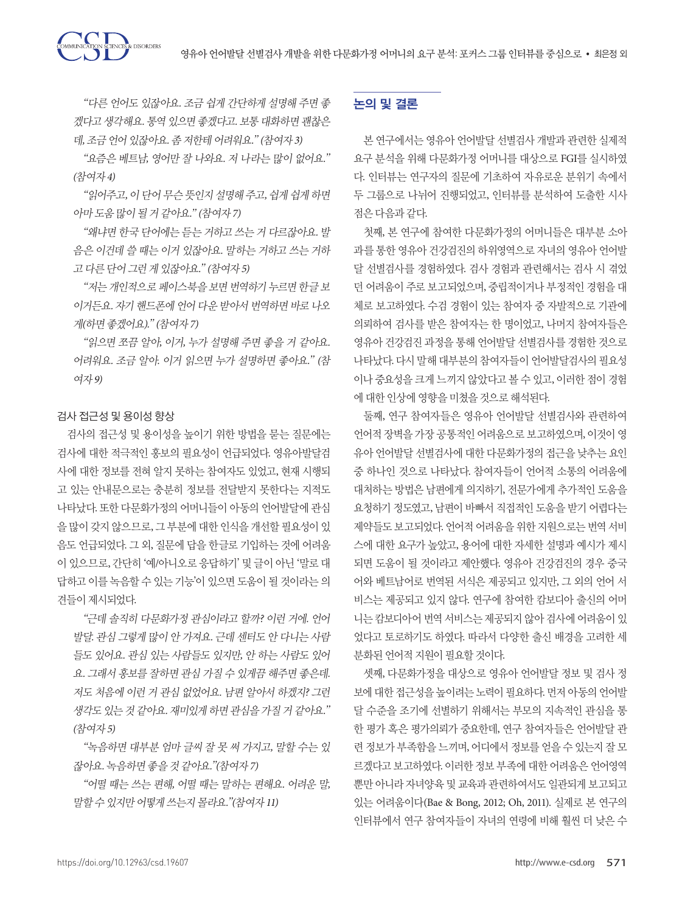"다른 언어도 있잖아요. 조금 쉽게 간단하게 설명해 주면 좋 겠다고 생각해요. 통역 있으면 좋겠다고. 보통 대화하면 괜찮은 데, 조금 언어 있잖아요. 좀 저한테 어려워요." (참여자 3)

"요즘은 베트남, 영어만 잘 나와요. 저 나라는 많이 없어요." (참여자 4)

"읽어주고, 이 단어 무슨 뜻인지 설명해 주고, 쉽게 쉽게 하면 아마도움많이될거같아요." (참여자 7)

"왜냐면 한국 단어에는 듣는 거하고 쓰는 거 다르잖아요. 발 음은 이건데 쓸 때는 이거 있잖아요. 말하는 거하고 쓰는 거하 고 다른 단어 그런 게 있잖아요." (참여자 5)

"저는 개인적으로 페이스북을 보면 번역하기 누르면 한글 보 이거든요. 자기 핸드폰에 언어 다운 받아서 번역하면 바로 나오 게(하면좋겠어요)." (참여자 7)

"읽으면 쪼끔 알아, 이거, 누가 설명해 주면 좋을 거 같아요. 어려워요. 조금 알아. 이거 읽으면 누가 설명하면 좋아요." (참 여자 9)

### 검사 접근성 및 용이성 향상

TON SCIENCES & DISORDERS

검사의 접근성 및 용이성을 높이기 위한 방법을 묻는 질문에는 검사에 대한 적극적인 홍보의 필요성이 언급되었다. 영유아발달검 사에 대한 정보를 전혀 알지 못하는 참여자도 있었고, 현재 시행되 고 있는 안내문으로는 충분히 정보를 전달받지 못한다는 지적도 나타났다. 또한 다문화가정의 어머니들이 아동의 언어발달에 관심 을 많이 갖지 않으므로, 그 부분에 대한 인식을 개선할 필요성이 있 음도 언급되었다. 그 외, 질문에 답을 한글로 기입하는 것에 어려움 이 있으므로, 간단히 '예/아니오로 응답하기' 및 글이 아닌 '말로 대 답하고 이를 녹음할 수 있는 기능'이 있으면 도움이 될 것이라는 의 견들이제시되었다.

"근데 솔직히 다문화가정 관심이라고 할까? 이런 거에. 언어 발달. 관심 그렇게 많이 안 가져요. 근데 센터도 안 다니는 사람 들도 있어요. 관심 있는 사람들도 있지만, 안 하는 사람도 있어 요. 그래서 홍보를 잘하면 관심 가질 수 있게끔 해주면 좋은데. 저도 처음에 이런 거 관심 없었어요. 남편 알아서 하겠지? 그런 생각도 있는 것 같아요. 재미있게 하면 관심을 가질 거 같아요." (참여자 5)

"녹음하면 대부분 엄마 글씨 잘 못 써 가지고, 말할 수는 있 잖아요. 녹음하면좋을것같아요."(참여자 7)

"어떨 때는 쓰는 편해, 어떨 때는 말하는 편해요. 어려운 말, 말할수있지만어떻게쓰는지몰라요."(참여자 11)

# 논의 및 결론

본 연구에서는 영유아 언어발달 선별검사 개발과 관련한 실제적 요구 분석을 위해 다문화가정 어머니를 대상으로 FGI를 실시하였 다. 인터뷰는 연구자의 질문에 기초하여 자유로운 분위기 속에서 두 그룹으로 나뉘어 진행되었고, 인터뷰를 분석하여 도출한 시사 점은다음과같다.

첫째, 본 연구에 참여한 다문화가정의 어머니들은 대부분 소아 과를 통한 영유아 건강검진의 하위영역으로 자녀의 영유아 언어발 달 선별검사를 경험하였다. 검사 경험과 관련해서는 검사 시 겪었 던 어려움이 주로 보고되었으며, 중립적이거나 부정적인 경험을 대 체로 보고하였다. 수검 경험이 있는 참여자 중 자발적으로 기관에 의뢰하여 검사를 받은 참여자는 한 명이었고, 나머지 참여자들은 영유아 건강검진 과정을 통해 언어발달 선별검사를 경험한 것으로 나타났다. 다시 말해 대부분의 참여자들이 언어발달검사의 필요성 이나 중요성을 크게 느끼지 않았다고 볼 수 있고, 이러한 점이 경험 에대한인상에영향을미쳤을것으로해석된다.

둘째, 연구 참여자들은 영유아 언어발달 선별검사와 관련하여 언어적 장벽을 가장 공통적인 어려움으로 보고하였으며, 이것이 영 유아 언어발달 선별검사에 대한 다문화가정의 접근을 낮추는 요인 중 하나인 것으로 나타났다. 참여자들이 언어적 소통의 어려움에 대처하는 방법은 남편에게 의지하기, 전문가에게 추가적인 도움을 요청하기 정도였고, 남편이 바빠서 직접적인 도움을 받기 어렵다는 제약들도 보고되었다. 언어적 어려움을 위한 지원으로는 번역 서비 스에 대한 요구가 높았고, 용어에 대한 자세한 설명과 예시가 제시 되면 도움이 될 것이라고 제안했다. 영유아 건강검진의 경우 중국 어와 베트남어로 번역된 서식은 제공되고 있지만, 그 외의 언어 서 비스는 제공되고 있지 않다. 연구에 참여한 캄보디아 출신의 어머 니는 캄보디아어 번역 서비스는 제공되지 않아 검사에 어려움이 있 었다고 토로하기도 하였다. 따라서 다양한 출신 배경을 고려한 세 분화된 언어적 지원이 필요할 것이다.

셋째, 다문화가정을 대상으로 영유아 언어발달 정보 및 검사 정 보에 대한 접근성을 높이려는 노력이 필요하다. 먼저 아동의 언어발 달 수준을 조기에 선별하기 위해서는 부모의 지속적인 관심을 통 한 평가 혹은 평가의뢰가 중요한데, 연구 참여자들은 언어발달 관 련 정보가 부족함을 느끼며, 어디에서 정보를 얻을 수 있는지 잘 모 르겠다고 보고하였다. 이러한 정보 부족에 대한 어려움은 언어영역 뿐만 아니라 자녀양육 및 교육과 관련하여서도 일관되게 보고되고 있는 어려움이다(Bae & Bong, 2012; Oh, 2011). 실제로 본 연구의 인터뷰에서 연구 참여자들이 자녀의 연령에 비해 훨씬 더 낮은 수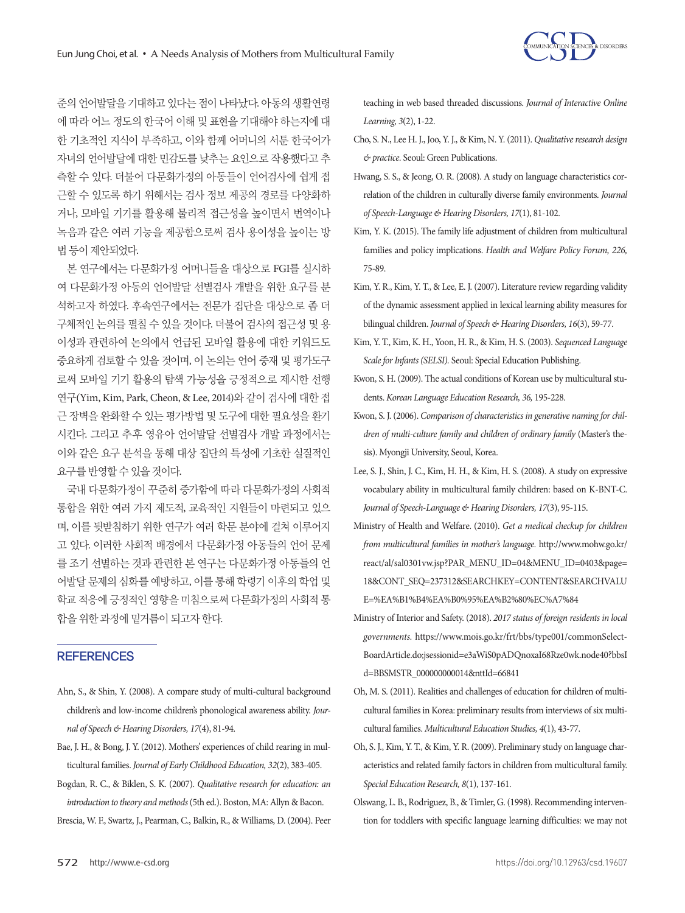

준의 언어발달을 기대하고 있다는 점이 나타났다. 아동의 생활연령 에 따라 어느 정도의 한국어 이해 및 표현을 기대해야 하는지에 대 한 기초적인 지식이 부족하고, 이와 함께 어머니의 서툰 한국어가 자녀의 언어발달에 대한 민감도를 낮추는 요인으로 작용했다고 추 측할 수 있다. 더불어 다문화가정의 아동들이 언어검사에 쉽게 접 근할 수 있도록 하기 위해서는 검사 정보 제공의 경로를 다양화하 거나, 모바일 기기를 활용해 물리적 접근성을 높이면서 번역이나 녹음과 같은 여러 기능을 제공함으로써 검사 용이성을 높이는 방 법등이제안되었다.

본 연구에서는 다문화가정 어머니들을 대상으로 FGI를 실시하 여 다문화가정 아동의 언어발달 선별검사 개발을 위한 요구를 분 석하고자 하였다. 후속연구에서는 전문가 집단을 대상으로 좀 더 구체적인 논의를 펼칠 수 있을 것이다. 더불어 검사의 접근성 및 용 이성과 관련하여 논의에서 언급된 모바일 활용에 대한 키워드도 중요하게 검토할 수 있을 것이며, 이 논의는 언어 중재 및 평가도구 로써 모바일 기기 활용의 탐색 가능성을 긍정적으로 제시한 선행 연구(Yim, Kim, Park, Cheon, & Lee, 2014)와 같이 검사에 대한 접 근 장벽을 완화할 수 있는 평가방법 및 도구에 대한 필요성을 환기 시킨다. 그리고 추후 영유아 언어발달 선별검사 개발 과정에서는 이와 같은 요구 분석을 통해 대상 집단의 특성에 기초한 실질적인 요구를반영할수있을것이다.

국내 다문화가정이 꾸준히 증가함에 따라 다문화가정의 사회적 통합을 위한 여러 가지 제도적, 교육적인 지원들이 마련되고 있으 며, 이를 뒷받침하기 위한 연구가 여러 학문 분야에 걸쳐 이루어지 고 있다. 이러한 사회적 배경에서 다문화가정 아동들의 언어 문제 를 조기 선별하는 것과 관련한 본 연구는 다문화가정 아동들의 언 어발달 문제의 심화를 예방하고, 이를 통해 학령기 이후의 학업 및 학교 적응에 긍정적인 영향을 미침으로써 다문화가정의 사회적 통 합을위한과정에밑거름이되고자한다.

#### **REFERENCES**

- Ahn, S., & Shin, Y. (2008). A compare study of multi-cultural background children's and low-income children's phonological awareness ability. *Journal of Speech & Hearing Disorders, 17*(4), 81-94.
- Bae, J. H., & Bong, J. Y. (2012). Mothers' experiences of child rearing in multicultural families. *Journal of Early Childhood Education, 32*(2), 383-405.
- Bogdan, R. C., & Biklen, S. K. (2007). *Qualitative research for education: an introduction to theory and methods* (5th ed.). Boston, MA: Allyn & Bacon.

Brescia, W. F., Swartz, J., Pearman, C., Balkin, R., & Williams, D. (2004). Peer

teaching in web based threaded discussions. *Journal of Interactive Online Learning, 3*(2), 1-22.

- Cho, S. N., Lee H. J., Joo, Y. J., & Kim, N. Y. (2011). *Qualitative research design & practice.* Seoul: Green Publications.
- Hwang, S. S., & Jeong, O. R. (2008). A study on language characteristics correlation of the children in culturally diverse family environments. *Journal of Speech-Language & Hearing Disorders, 17*(1), 81-102.
- Kim, Y. K. (2015). The family life adjustment of children from multicultural families and policy implications. *Health and Welfare Policy Forum, 226,* 75-89.
- Kim, Y. R., Kim, Y. T., & Lee, E. J. (2007). Literature review regarding validity of the dynamic assessment applied in lexical learning ability measures for bilingual children. *Journal of Speech & Hearing Disorders, 16*(3), 59-77.
- Kim, Y. T., Kim, K. H., Yoon, H. R., & Kim, H. S. (2003). *Sequenced Language Scale for Infants (SELSI).* Seoul: Special Education Publishing.
- Kwon, S. H. (2009). The actual conditions of Korean use by multicultural students. *Korean Language Education Research, 36,* 195-228.
- Kwon, S. J. (2006). *Comparison of characteristics in generative naming for children of multi-culture family and children of ordinary family* (Master's thesis). Myongji University, Seoul, Korea.
- Lee, S. J., Shin, J. C., Kim, H. H., & Kim, H. S. (2008). A study on expressive vocabulary ability in multicultural family children: based on K-BNT-C. *Journal of Speech-Language & Hearing Disorders, 17*(3), 95-115.
- Ministry of Health and Welfare. (2010). *Get a medical checkup for children from multicultural families in mother's language.* http://www.mohw.go.kr/ react/al/sal0301vw.jsp?PAR\_MENU\_ID=04&MENU\_ID=0403&page= 18&CONT\_SEQ=237312&SEARCHKEY=CONTENT&SEARCHVALU E=%EA%B1%B4%EA%B0%95%EA%B2%80%EC%A7%84
- Ministry of Interior and Safety. (2018). *2017 status of foreign residents in local governments.* https://www.mois.go.kr/frt/bbs/type001/commonSelect-BoardArticle.do;jsessionid=e3aWiS0pADQnoxaI68Rze0wk.node40?bbsI d=BBSMSTR\_000000000014&nttId=66841
- Oh, M. S. (2011). Realities and challenges of education for children of multicultural families in Korea: preliminary results from interviews of six multicultural families. *Multicultural Education Studies, 4*(1), 43-77.
- Oh, S. J., Kim, Y. T., & Kim, Y. R. (2009). Preliminary study on language characteristics and related family factors in children from multicultural family. *Special Education Research, 8*(1), 137-161.
- Olswang, L. B., Rodriguez, B., & Timler, G. (1998). Recommending intervention for toddlers with specific language learning difficulties: we may not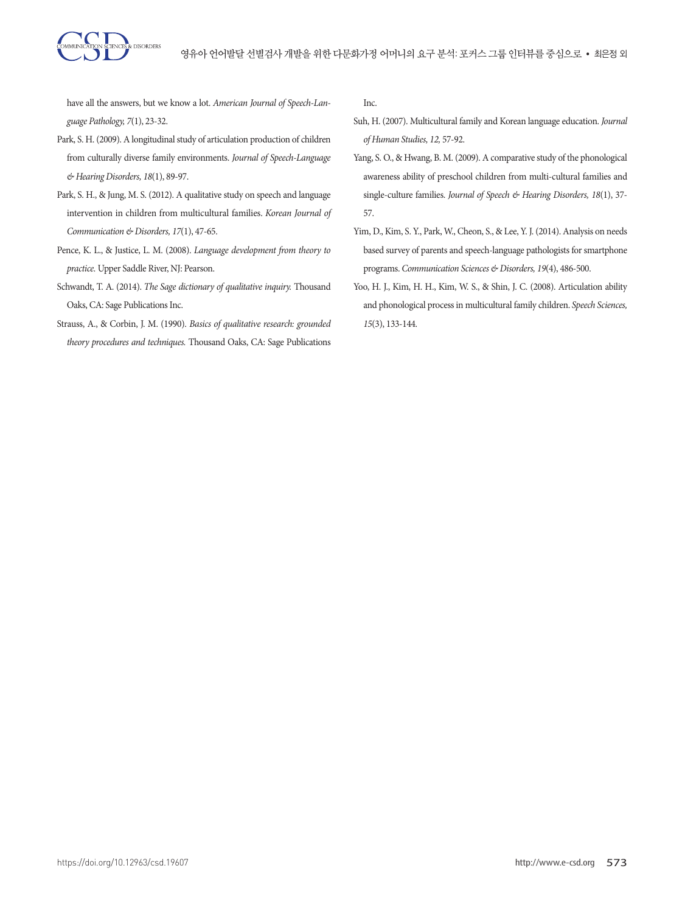

have all the answers, but we know a lot. *American Journal of Speech-Language Pathology, 7*(1), 23-32.

- Park, S. H. (2009). A longitudinal study of articulation production of children from culturally diverse family environments. *Journal of Speech-Language & Hearing Disorders, 18*(1), 89-97.
- Park, S. H., & Jung, M. S. (2012). A qualitative study on speech and language intervention in children from multicultural families. *Korean Journal of Communication & Disorders, 17*(1), 47-65.
- Pence, K. L., & Justice, L. M. (2008). *Language development from theory to practice.* Upper Saddle River, NJ: Pearson.
- Schwandt, T. A. (2014). *The Sage dictionary of qualitative inquiry.* Thousand Oaks, CA: Sage Publications Inc.
- Strauss, A., & Corbin, J. M. (1990). *Basics of qualitative research: grounded theory procedures and techniques.* Thousand Oaks, CA: Sage Publications

Inc.

- Suh, H. (2007). Multicultural family and Korean language education. *Journal of Human Studies, 12,* 57-92.
- Yang, S. O., & Hwang, B. M. (2009). A comparative study of the phonological awareness ability of preschool children from multi-cultural families and single-culture families. *Journal of Speech & Hearing Disorders, 18*(1), 37- 57.
- Yim, D., Kim, S. Y., Park, W., Cheon, S., & Lee, Y. J. (2014). Analysis on needs based survey of parents and speech-language pathologists for smartphone programs. *Communication Sciences & Disorders, 19*(4), 486-500.
- Yoo, H. J., Kim, H. H., Kim, W. S., & Shin, J. C. (2008). Articulation ability and phonological process in multicultural family children. *Speech Sciences, 15*(3), 133-144.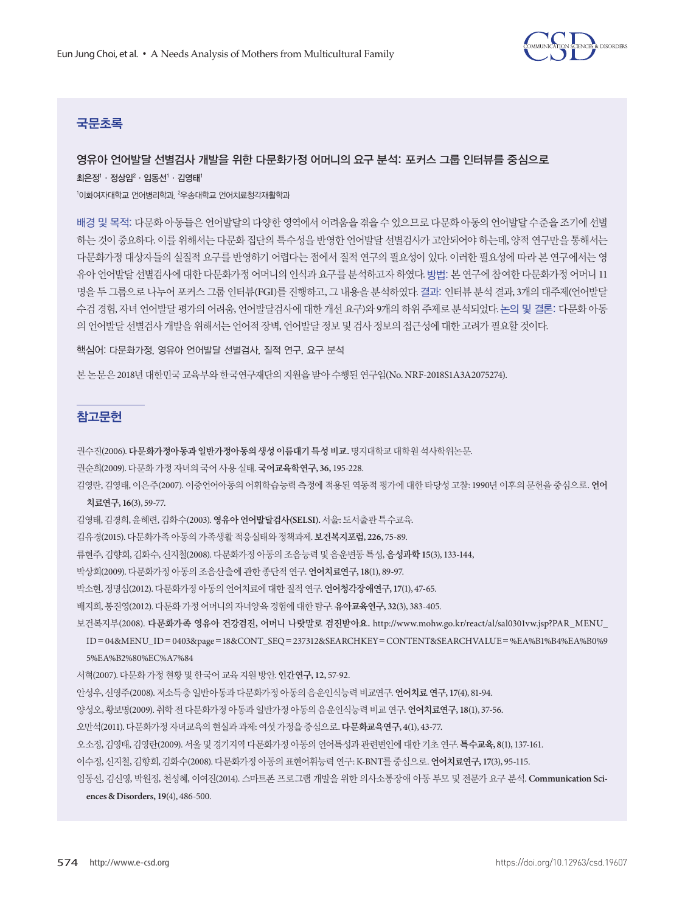

# 국문초록

# 영유아 언어발달 선별검사 개발을 위한 다문화가정 어머니의 요구 분석: 포커스 그룹 인터뷰를 중심으로

최은정' · 정상임² · 임동선' · 김영태'

<sup>1</sup>이화여자대학교 언어병리학과, <sup>2</sup>우송대학교 언어치료청각재활학과

배경 및 목적: 다문화 아동들은 언어발달의 다양한 영역에서 어려움을 겪을 수 있으므로 다문화 아동의 언어발달 수준을 조기에 선별 하는 것이 중요하다. 이를 위해서는 다문화 집단의 특수성을 반영한 언어발달 선별검사가 고안되어야 하는데, 양적 연구만을 통해서는 다문화가정 대상자들의 실질적 요구를 반영하기 어렵다는 점에서 질적 연구의 필요성이 있다. 이러한 필요성에 따라 본 연구에서는 영 유아 언어발달 선별검사에 대한 다문화가정 어머니의 인식과 요구를 분석하고자 하였다. 방법: 본 연구에 참여한 다문화가정 어머니 11 명을 두 그룹으로 나누어 포커스 그룹 인터뷰(FGI)를 진행하고, 그 내용을 분석하였다. 결과: 인터뷰 분석 결과, 3개의 대주제(언어발달 수검 경험, 자녀 언어발달 평가의 어려움, 언어발달검사에 대한 개선 요구)와 9개의 하위 주제로 분석되었다. 논의 및 결론: 다문화 아동 의 언어발달 선별검사 개발을 위해서는 언어적 장벽, 언어발달 정보 및 검사 정보의 접근성에 대한 고려가 필요할 것이다.

핵심어: 다문화가정, 영유아 언어발달 선별검사, 질적 연구, 요구 분석

본 논문은 2018년 대한민국 교육부와 한국연구재단의 지원을 받아 수행된 연구임(No. NRF-2018S1A3A2075274).

# 참고문헌

권수진(2006). 다문화가정아동과일반가정아동의생성이름대기특성비교**.** 명지대학교대학원석사학위논문.

권순희(2009). 다문화가정자녀의국어사용실태. 국어교육학연구**, 36,** 195-228.

김영란, 김영태, 이은주(2007). 이중언어아동의 어휘학습능력 측정에 적용된 역동적 평가에 대한 타당성 고찰: 1990년 이후의 문헌을 중심으로. 언어

#### 치료연구**, 16**(3), 59-77.

김영태, 김경희, 윤혜련, 김화수(2003). 영유아언어발달검사**(SELSI).**서울: 도서출판특수교육.

김유경(2015). 다문화가족아동의가족생활적응실태와정책과제. 보건복지포럼**, 226,** 75-89.

류현주, 김향희, 김화수, 신지철(2008). 다문화가정아동의조음능력및음운변동특성, 음성과학 **15**(3), 133-144,

박상희(2009). 다문화가정아동의조음산출에관한종단적연구. 언어치료연구**, 18**(1), 89-97.

박소현, 정명심(2012). 다문화가정아동의언어치료에대한질적연구.언어청각장애연구**, 17**(1), 47-65.

배지희, 봉진영(2012). 다문화가정어머니의자녀양육경험에대한탐구. 유아교육연구**, 32**(3), 383-405.

보건복지부(2008). 다문화가족 영유아 건강검진**,** 어머니 나랏말로 검진받아요**.** http://www.mohw.go.kr/react/al/sal0301vw.jsp?PAR\_MENU\_

ID= 04&MENU\_ID= 0403&page=18&CONT\_SEQ=237312&SEARCHKEY=CONTENT&SEARCHVALUE=%EA%B1%B4%EA%B0%9 5%EA%B2%80%EC%A7%84

서혁(2007). 다문화가정현황및한국어교육지원방안. 인간연구**, 12,** 57-92.

안성우, 신영주(2008). 저소득층일반아동과다문화가정아동의음운인식능력비교연구. 언어치료연구**, 17**(4), 81-94.

양성오, 황보명(2009). 취학전다문화가정아동과일반가정아동의음운인식능력비교연구. 언어치료연구**, 18**(1), 37-56.

오만석(2011). 다문화가정자녀교육의현실과과제: 여섯가정을중심으로. 다문화교육연구**, 4**(1), 43-77.

오소정, 김영태, 김영란(2009). 서울및경기지역다문화가정아동의언어특성과관련변인에대한기초연구.특수교육**, 8**(1), 137-161.

이수정, 신지철, 김향희, 김화수(2008). 다문화가정아동의표현어휘능력연구: K-BNT를중심으로. 언어치료연구**, 17**(3), 95-115.

```
임동선, 김신영, 박원정, 천성혜, 이여진(2014). 스마트폰 프로그램 개발을 위한 의사소통장애 아동 부모 및 전문가 요구 분석. Communication Sci-
```
**ences & Disorders, 19**(4), 486-500.